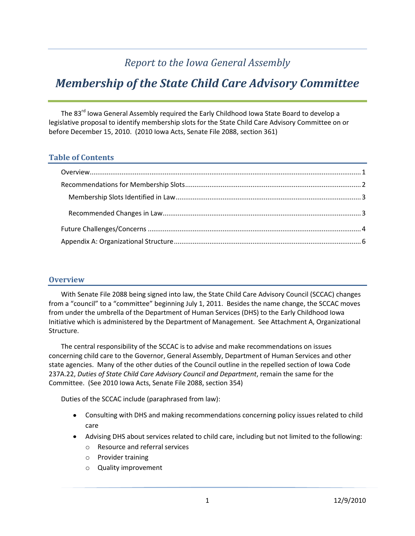## *Report to the Iowa General Assembly*

# *Membership of the State Child Care Advisory Committee*

The 83<sup>rd</sup> Iowa General Assembly required the Early Childhood Iowa State Board to develop a legislative proposal to identify membership slots for the State Child Care Advisory Committee on or before December 15, 2010. (2010 Iowa Acts, Senate File 2088, section 361)

## **Table of Contents**

#### <span id="page-0-0"></span>**Overview**

With Senate File 2088 being signed into law, the State Child Care Advisory Council (SCCAC) changes from a "council" to a "committee" beginning July 1, 2011. Besides the name change, the SCCAC moves from under the umbrella of the Department of Human Services (DHS) to the Early Childhood Iowa Initiative which is administered by the Department of Management. See Attachment A, Organizational Structure.

The central responsibility of the SCCAC is to advise and make recommendations on issues concerning child care to the Governor, General Assembly, Department of Human Services and other state agencies. Many of the other duties of the Council outline in the repelled section of Iowa Code 237A.22, *Duties of State Child Care Advisory Council and Department*, remain the same for the Committee. (See 2010 Iowa Acts, Senate File 2088, section 354)

Duties of the SCCAC include (paraphrased from law):

- Consulting with DHS and making recommendations concerning policy issues related to child care
- Advising DHS about services related to child care, including but not limited to the following:
	- o Resource and referral services
	- o Provider training
	- o Quality improvement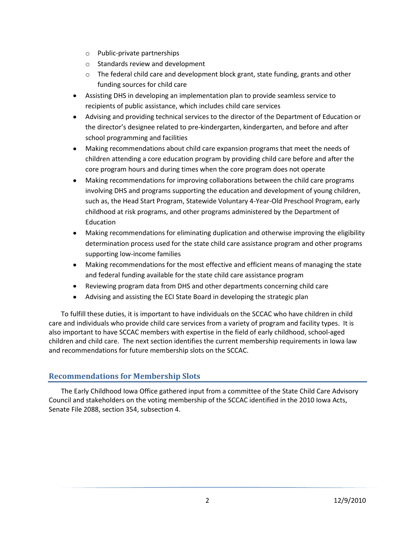- o Public-private partnerships
- o Standards review and development
- $\circ$  The federal child care and development block grant, state funding, grants and other funding sources for child care
- Assisting DHS in developing an implementation plan to provide seamless service to recipients of public assistance, which includes child care services
- Advising and providing technical services to the director of the Department of Education or the director's designee related to pre-kindergarten, kindergarten, and before and after school programming and facilities
- Making recommendations about child care expansion programs that meet the needs of children attending a core education program by providing child care before and after the core program hours and during times when the core program does not operate
- Making recommendations for improving collaborations between the child care programs involving DHS and programs supporting the education and development of young children, such as, the Head Start Program, Statewide Voluntary 4-Year-Old Preschool Program, early childhood at risk programs, and other programs administered by the Department of Education
- Making recommendations for eliminating duplication and otherwise improving the eligibility determination process used for the state child care assistance program and other programs supporting low-income families
- Making recommendations for the most effective and efficient means of managing the state and federal funding available for the state child care assistance program
- Reviewing program data from DHS and other departments concerning child care
- $\bullet$ Advising and assisting the ECI State Board in developing the strategic plan

To fulfill these duties, it is important to have individuals on the SCCAC who have children in child care and individuals who provide child care services from a variety of program and facility types. It is also important to have SCCAC members with expertise in the field of early childhood, school-aged children and child care. The next section identifies the current membership requirements in Iowa law and recommendations for future membership slots on the SCCAC.

## <span id="page-1-0"></span>**Recommendations for Membership Slots**

The Early Childhood Iowa Office gathered input from a committee of the State Child Care Advisory Council and stakeholders on the voting membership of the SCCAC identified in the 2010 Iowa Acts, Senate File 2088, section 354, subsection 4.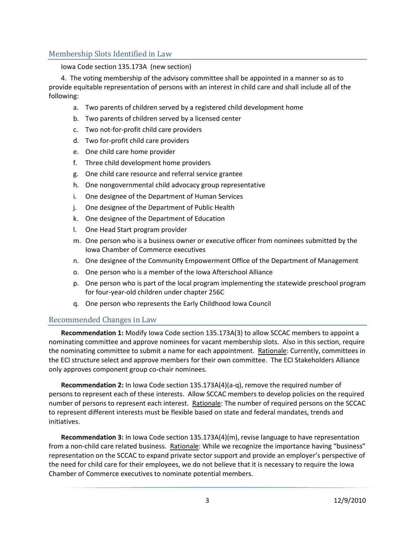## <span id="page-2-0"></span>Membership Slots Identified in Law

#### Iowa Code section 135.173A (new section)

4. The voting membership of the advisory committee shall be appointed in a manner so as to provide equitable representation of persons with an interest in child care and shall include all of the following:

- a. Two parents of children served by a registered child development home
- b. Two parents of children served by a licensed center
- c. Two not-for-profit child care providers
- d. Two for-profit child care providers
- e. One child care home provider
- f. Three child development home providers
- g. One child care resource and referral service grantee
- h. One nongovernmental child advocacy group representative
- i. One designee of the Department of Human Services
- j. One designee of the Department of Public Health
- k. One designee of the Department of Education
- l. One Head Start program provider
- m. One person who is a business owner or executive officer from nominees submitted by the Iowa Chamber of Commerce executives
- n. One designee of the Community Empowerment Office of the Department of Management
- o. One person who is a member of the Iowa Afterschool Alliance
- p. One person who is part of the local program implementing the statewide preschool program for four-year-old children under chapter 256C
- q. One person who represents the Early Childhood Iowa Council

## <span id="page-2-1"></span>Recommended Changes in Law

**Recommendation 1:** Modify Iowa Code section 135.173A(3) to allow SCCAC members to appoint a nominating committee and approve nominees for vacant membership slots. Also in this section, require the nominating committee to submit a name for each appointment. Rationale: Currently, committees in the ECI structure select and approve members for their own committee. The ECI Stakeholders Alliance only approves component group co-chair nominees.

**Recommendation 2:** In Iowa Code section 135.173A(4)(a-q), remove the required number of persons to represent each of these interests. Allow SCCAC members to develop policies on the required number of persons to represent each interest. Rationale: The number of required persons on the SCCAC to represent different interests must be flexible based on state and federal mandates, trends and initiatives.

**Recommendation 3:** In Iowa Code section 135.173A(4)(m), revise language to have representation from a non-child care related business. Rationale: While we recognize the importance having "business" representation on the SCCAC to expand private sector support and provide an employer's perspective of the need for child care for their employees, we do not believe that it is necessary to require the Iowa Chamber of Commerce executives to nominate potential members.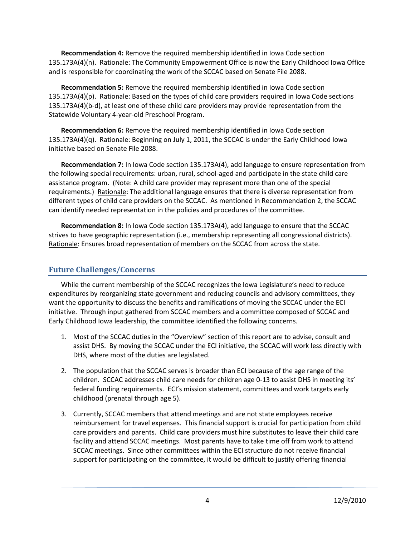**Recommendation 4:** Remove the required membership identified in Iowa Code section 135.173A(4)(n). Rationale: The Community Empowerment Office is now the Early Childhood Iowa Office and is responsible for coordinating the work of the SCCAC based on Senate File 2088.

**Recommendation 5:** Remove the required membership identified in Iowa Code section 135.173A(4)(p). Rationale: Based on the types of child care providers required in Iowa Code sections 135.173A(4)(b-d), at least one of these child care providers may provide representation from the Statewide Voluntary 4-year-old Preschool Program.

**Recommendation 6:** Remove the required membership identified in Iowa Code section 135.173A(4)(q). Rationale: Beginning on July 1, 2011, the SCCAC is under the Early Childhood Iowa initiative based on Senate File 2088.

**Recommendation 7:** In Iowa Code section 135.173A(4), add language to ensure representation from the following special requirements: urban, rural, school-aged and participate in the state child care assistance program. (Note: A child care provider may represent more than one of the special requirements.) Rationale: The additional language ensures that there is diverse representation from different types of child care providers on the SCCAC. As mentioned in Recommendation 2, the SCCAC can identify needed representation in the policies and procedures of the committee.

**Recommendation 8:** In Iowa Code section 135.173A(4), add language to ensure that the SCCAC strives to have geographic representation (i.e., membership representing all congressional districts). Rationale: Ensures broad representation of members on the SCCAC from across the state.

## <span id="page-3-0"></span>**Future Challenges/Concerns**

While the current membership of the SCCAC recognizes the Iowa Legislature's need to reduce expenditures by reorganizing state government and reducing councils and advisory committees, they want the opportunity to discuss the benefits and ramifications of moving the SCCAC under the ECI initiative. Through input gathered from SCCAC members and a committee composed of SCCAC and Early Childhood Iowa leadership, the committee identified the following concerns.

- 1. Most of the SCCAC duties in the "Overview" section of this report are to advise, consult and assist DHS. By moving the SCCAC under the ECI initiative, the SCCAC will work less directly with DHS, where most of the duties are legislated.
- 2. The population that the SCCAC serves is broader than ECI because of the age range of the children. SCCAC addresses child care needs for children age 0-13 to assist DHS in meeting its' federal funding requirements. ECI's mission statement, committees and work targets early childhood (prenatal through age 5).
- 3. Currently, SCCAC members that attend meetings and are not state employees receive reimbursement for travel expenses. This financial support is crucial for participation from child care providers and parents. Child care providers must hire substitutes to leave their child care facility and attend SCCAC meetings. Most parents have to take time off from work to attend SCCAC meetings. Since other committees within the ECI structure do not receive financial support for participating on the committee, it would be difficult to justify offering financial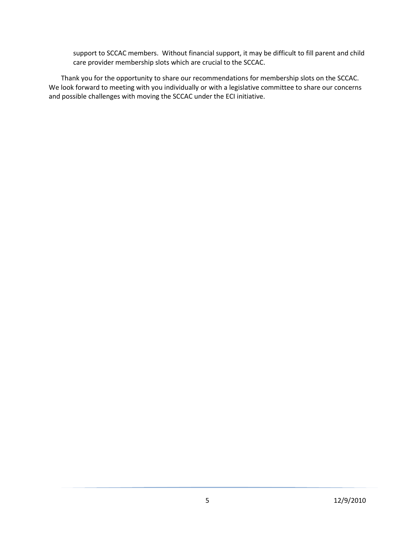support to SCCAC members. Without financial support, it may be difficult to fill parent and child care provider membership slots which are crucial to the SCCAC.

Thank you for the opportunity to share our recommendations for membership slots on the SCCAC. We look forward to meeting with you individually or with a legislative committee to share our concerns and possible challenges with moving the SCCAC under the ECI initiative.